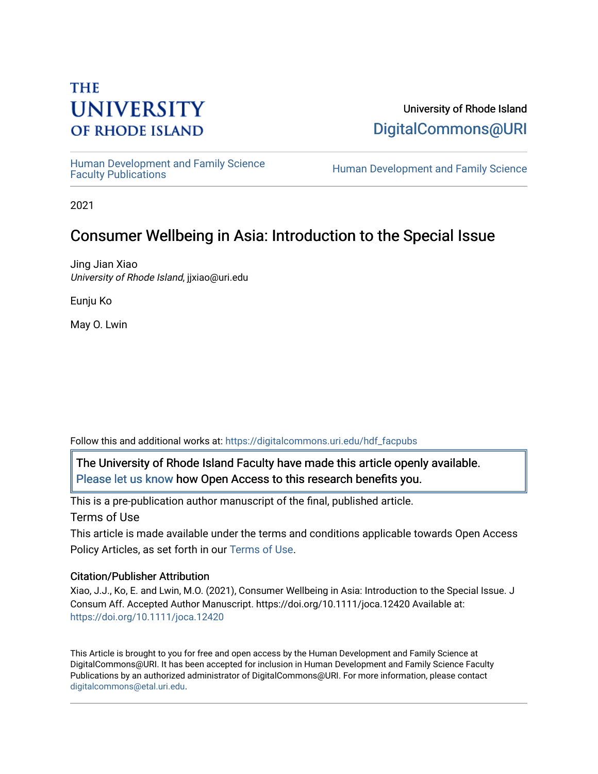## **THE UNIVERSITY OF RHODE ISLAND**

University of Rhode Island [DigitalCommons@URI](https://digitalcommons.uri.edu/) 

Human Development and Family Science<br>Faculty Publications

Human Development and Family Science

2021

## Consumer Wellbeing in Asia: Introduction to the Special Issue

Jing Jian Xiao University of Rhode Island, jjxiao@uri.edu

Eunju Ko

May O. Lwin

Follow this and additional works at: [https://digitalcommons.uri.edu/hdf\\_facpubs](https://digitalcommons.uri.edu/hdf_facpubs?utm_source=digitalcommons.uri.edu%2Fhdf_facpubs%2F230&utm_medium=PDF&utm_campaign=PDFCoverPages) 

The University of Rhode Island Faculty have made this article openly available. [Please let us know](http://web.uri.edu/library-digital-initiatives/open-access-online-form/) how Open Access to this research benefits you.

This is a pre-publication author manuscript of the final, published article. Terms of Use

This article is made available under the terms and conditions applicable towards Open Access Policy Articles, as set forth in our [Terms of Use](https://digitalcommons.uri.edu/hdf_facpubs/oa_policy_terms.html).

## Citation/Publisher Attribution

Xiao, J.J., Ko, E. and Lwin, M.O. (2021), Consumer Wellbeing in Asia: Introduction to the Special Issue. J Consum Aff. Accepted Author Manuscript. https://doi.org/10.1111/joca.12420 Available at: <https://doi.org/10.1111/joca.12420>

This Article is brought to you for free and open access by the Human Development and Family Science at DigitalCommons@URI. It has been accepted for inclusion in Human Development and Family Science Faculty Publications by an authorized administrator of DigitalCommons@URI. For more information, please contact [digitalcommons@etal.uri.edu](mailto:digitalcommons@etal.uri.edu).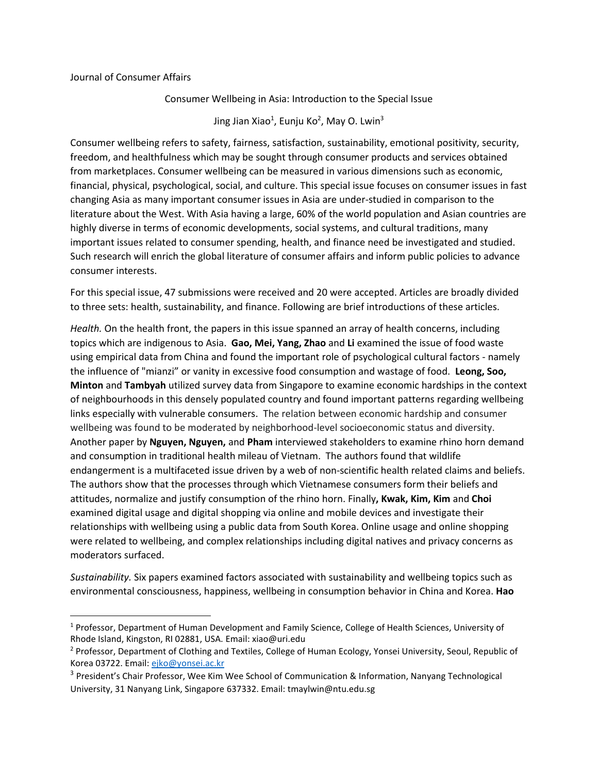## Journal of Consumer Affairs

Consumer Wellbeing in Asia: Introduction to the Special Issue

Jing Jian Xiao<sup>1</sup>, Eunju Ko<sup>2</sup>, May O. Lwin<sup>3</sup>

Consumer wellbeing refers to safety, fairness, satisfaction, sustainability, emotional positivity, security, freedom, and healthfulness which may be sought through consumer products and services obtained from marketplaces. Consumer wellbeing can be measured in various dimensions such as economic, financial, physical, psychological, social, and culture. This special issue focuses on consumer issues in fast changing Asia as many important consumer issues in Asia are under-studied in comparison to the literature about the West. With Asia having a large, 60% of the world population and Asian countries are highly diverse in terms of economic developments, social systems, and cultural traditions, many important issues related to consumer spending, health, and finance need be investigated and studied. Such research will enrich the global literature of consumer affairs and inform public policies to advance consumer interests.

For this special issue, 47 submissions were received and 20 were accepted. Articles are broadly divided to three sets: health, sustainability, and finance. Following are brief introductions of these articles.

*Health.* On the health front, the papers in this issue spanned an array of health concerns, including topics which are indigenous to Asia. **Gao, Mei, Yang, Zhao** and **Li** examined the issue of food waste using empirical data from China and found the important role of psychological cultural factors - namely the influence of "mianzi" or vanity in excessive food consumption and wastage of food. **Leong, Soo, Minton** and **Tambyah** utilized survey data from Singapore to examine economic hardships in the context of neighbourhoods in this densely populated country and found important patterns regarding wellbeing links especially with vulnerable consumers. The relation between economic hardship and consumer wellbeing was found to be moderated by neighborhood-level socioeconomic status and diversity. Another paper by **Nguyen, Nguyen,** and **Pham** interviewed stakeholders to examine rhino horn demand and consumption in traditional health mileau of Vietnam. The authors found that wildlife endangerment is a multifaceted issue driven by a web of non-scientific health related claims and beliefs. The authors show that the processes through which Vietnamese consumers form their beliefs and attitudes, normalize and justify consumption of the rhino horn. Finally**, Kwak, Kim, Kim** and **Choi** examined digital usage and digital shopping via online and mobile devices and investigate their relationships with wellbeing using a public data from South Korea. Online usage and online shopping were related to wellbeing, and complex relationships including digital natives and privacy concerns as moderators surfaced.

*Sustainability.* Six papers examined factors associated with sustainability and wellbeing topics such as environmental consciousness, happiness, wellbeing in consumption behavior in China and Korea. **Hao**

<sup>&</sup>lt;sup>1</sup> Professor, Department of Human Development and Family Science, College of Health Sciences, University of Rhode Island, Kingston, RI 02881, USA. Email: xiao@uri.edu

<sup>&</sup>lt;sup>2</sup> Professor, Department of Clothing and Textiles, College of Human Ecology, Yonsei University, Seoul, Republic of Korea 03722. Email: [ejko@yonsei.ac.kr](mailto:ejko@yonsei.ac.kr)

<sup>&</sup>lt;sup>3</sup> President's Chair Professor, Wee Kim Wee School of Communication & Information, Nanyang Technological University, 31 Nanyang Link, Singapore 637332. Email: tmaylwin@ntu.edu.sg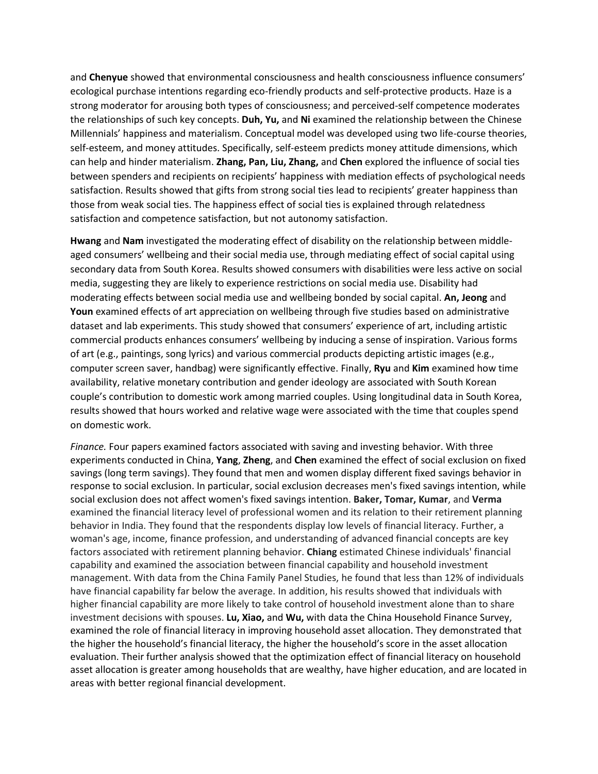and **Chenyue** showed that environmental consciousness and health consciousness influence consumers' ecological purchase intentions regarding eco-friendly products and self-protective products. Haze is a strong moderator for arousing both types of consciousness; and perceived-self competence moderates the relationships of such key concepts. **Duh, Yu,** and **Ni** examined the relationship between the Chinese Millennials' happiness and materialism. Conceptual model was developed using two life-course theories, self-esteem, and money attitudes. Specifically, self-esteem predicts money attitude dimensions, which can help and hinder materialism. **Zhang, Pan, Liu, Zhang,** and **Chen** explored the influence of social ties between spenders and recipients on recipients' happiness with mediation effects of psychological needs satisfaction. Results showed that gifts from strong social ties lead to recipients' greater happiness than those from weak social ties. The happiness effect of social ties is explained through relatedness satisfaction and competence satisfaction, but not autonomy satisfaction.

**Hwang** and **Nam** investigated the moderating effect of disability on the relationship between middleaged consumers' wellbeing and their social media use, through mediating effect of social capital using secondary data from South Korea. Results showed consumers with disabilities were less active on social media, suggesting they are likely to experience restrictions on social media use. Disability had moderating effects between social media use and wellbeing bonded by social capital. **An, Jeong** and **Youn** examined effects of art appreciation on wellbeing through five studies based on administrative dataset and lab experiments. This study showed that consumers' experience of art, including artistic commercial products enhances consumers' wellbeing by inducing a sense of inspiration. Various forms of art (e.g., paintings, song lyrics) and various commercial products depicting artistic images (e.g., computer screen saver, handbag) were significantly effective. Finally, **Ryu** and **Kim** examined how time availability, relative monetary contribution and gender ideology are associated with South Korean couple's contribution to domestic work among married couples. Using longitudinal data in South Korea, results showed that hours worked and relative wage were associated with the time that couples spend on domestic work.

*Finance.* Four papers examined factors associated with saving and investing behavior. With three experiments conducted in China, **Yang**, **Zheng**, and **Chen** examined the effect of social exclusion on fixed savings (long term savings). They found that men and women display different fixed savings behavior in response to social exclusion. In particular, social exclusion decreases men's fixed savings intention, while social exclusion does not affect women's fixed savings intention. **Baker, Tomar, Kumar**, and **Verma** examined the financial literacy level of professional women and its relation to their retirement planning behavior in India. They found that the respondents display low levels of financial literacy. Further, a woman's age, income, finance profession, and understanding of advanced financial concepts are key factors associated with retirement planning behavior. **Chiang** estimated Chinese individuals' financial capability and examined the association between financial capability and household investment management. With data from the China Family Panel Studies, he found that less than 12% of individuals have financial capability far below the average. In addition, his results showed that individuals with higher financial capability are more likely to take control of household investment alone than to share investment decisions with spouses. **Lu, Xiao,** and **Wu,** with data the China Household Finance Survey, examined the role of financial literacy in improving household asset allocation. They demonstrated that the higher the household's financial literacy, the higher the household's score in the asset allocation evaluation. Their further analysis showed that the optimization effect of financial literacy on household asset allocation is greater among households that are wealthy, have higher education, and are located in areas with better regional financial development.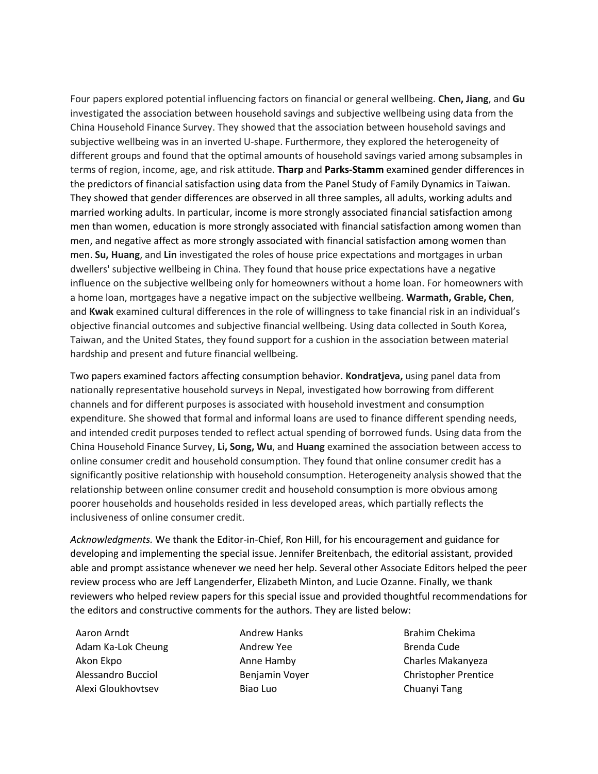Four papers explored potential influencing factors on financial or general wellbeing. **Chen, Jiang**, and **Gu** investigated the association between household savings and subjective wellbeing using data from the China Household Finance Survey. They showed that the association between household savings and subjective wellbeing was in an inverted U-shape. Furthermore, they explored the heterogeneity of different groups and found that the optimal amounts of household savings varied among subsamples in terms of region, income, age, and risk attitude. **Tharp** and **Parks-Stamm** examined gender differences in the predictors of financial satisfaction using data from the Panel Study of Family Dynamics in Taiwan. They showed that gender differences are observed in all three samples, all adults, working adults and married working adults. In particular, income is more strongly associated financial satisfaction among men than women, education is more strongly associated with financial satisfaction among women than men, and negative affect as more strongly associated with financial satisfaction among women than men. **Su, Huang**, and **Lin** investigated the roles of house price expectations and mortgages in urban dwellers' subjective wellbeing in China. They found that house price expectations have a negative influence on the subjective wellbeing only for homeowners without a home loan. For homeowners with a home loan, mortgages have a negative impact on the subjective wellbeing. **Warmath, Grable, Chen**, and **Kwak** examined cultural differences in the role of willingness to take financial risk in an individual's objective financial outcomes and subjective financial wellbeing. Using data collected in South Korea, Taiwan, and the United States, they found support for a cushion in the association between material hardship and present and future financial wellbeing.

Two papers examined factors affecting consumption behavior. **Kondratjeva,** using panel data from nationally representative household surveys in Nepal, investigated how borrowing from different channels and for different purposes is associated with household investment and consumption expenditure. She showed that formal and informal loans are used to finance different spending needs, and intended credit purposes tended to reflect actual spending of borrowed funds. Using data from the China Household Finance Survey, **Li, Song, Wu**, and **Huang** examined the association between access to online consumer credit and household consumption. They found that online consumer credit has a significantly positive relationship with household consumption. Heterogeneity analysis showed that the relationship between online consumer credit and household consumption is more obvious among poorer households and households resided in less developed areas, which partially reflects the inclusiveness of online consumer credit.

*Acknowledgments.* We thank the Editor-in-Chief, Ron Hill, for his encouragement and guidance for developing and implementing the special issue. Jennifer Breitenbach, the editorial assistant, provided able and prompt assistance whenever we need her help. Several other Associate Editors helped the peer review process who are Jeff Langenderfer, Elizabeth Minton, and Lucie Ozanne. Finally, we thank reviewers who helped review papers for this special issue and provided thoughtful recommendations for the editors and constructive comments for the authors. They are listed below:

Aaron Arndt Adam Ka-Lok Cheung Akon Ekpo Alessandro Bucciol Alexi Gloukhovtsev

Andrew Hanks Andrew Yee Anne Hamby Benjamin Voyer Biao Luo

Brahim Chekima Brenda Cude Charles Makanyeza Christopher Prentice Chuanyi Tang